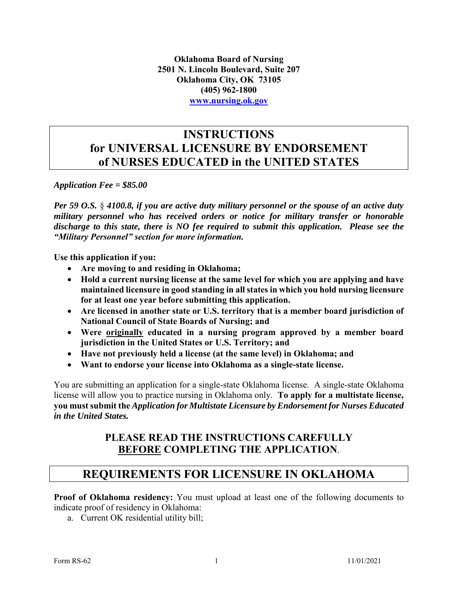**Oklahoma Board of Nursing 2501 N. Lincoln Boulevard, Suite 207 Oklahoma City, OK 73105 (405) 962-1800 [www.nursing.ok.gov](http://www.ok.gov/nursing)**

### **INSTRUCTIONS for UNIVERSAL LICENSURE BY ENDORSEMENT of NURSES EDUCATED in the UNITED STATES**

*Application Fee = \$85.00*

*Per 59 O.S.* § *4100.8, if you are active duty military personnel or the spouse of an active duty military personnel who has received orders or notice for military transfer or honorable discharge to this state, there is NO fee required to submit this application. Please see the "Military Personnel" section for more information.* 

**Use this application if you:**

- **Are moving to and residing in Oklahoma;**
- **Hold a current nursing license at the same level for which you are applying and have maintained licensure in good standing in all states in which you hold nursing licensure for at least one year before submitting this application.**
- **Are licensed in another state or U.S. territory that is a member board jurisdiction of National Council of State Boards of Nursing; and**
- **Were originally educated in a nursing program approved by a member board jurisdiction in the United States or U.S. Territory; and**
- **Have not previously held a license (at the same level) in Oklahoma; and**
- **Want to endorse your license into Oklahoma as a single-state license.**

You are submitting an application for a single-state Oklahoma license. A single-state Oklahoma license will allow you to practice nursing in Oklahoma only. **To apply for a multistate license, you must submit the** *Application for Multistate Licensure by Endorsement for Nurses Educated in the United States.*

### **PLEASE READ THE INSTRUCTIONS CAREFULLY BEFORE COMPLETING THE APPLICATION**.

### **REQUIREMENTS FOR LICENSURE IN OKLAHOMA**

**Proof of Oklahoma residency:** You must upload at least one of the following documents to indicate proof of residency in Oklahoma:

a. Current OK residential utility bill;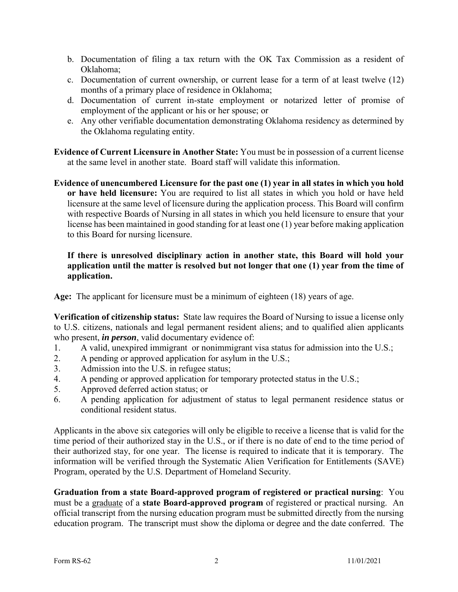- b. Documentation of filing a tax return with the OK Tax Commission as a resident of Oklahoma;
- c. Documentation of current ownership, or current lease for a term of at least twelve (12) months of a primary place of residence in Oklahoma;
- d. Documentation of current in-state employment or notarized letter of promise of employment of the applicant or his or her spouse; or
- e. Any other verifiable documentation demonstrating Oklahoma residency as determined by the Oklahoma regulating entity.

**Evidence of Current Licensure in Another State:** You must be in possession of a current license at the same level in another state. Board staff will validate this information.

**Evidence of unencumbered Licensure for the past one (1) year in all states in which you hold or have held licensure:** You are required to list all states in which you hold or have held licensure at the same level of licensure during the application process. This Board will confirm with respective Boards of Nursing in all states in which you held licensure to ensure that your license has been maintained in good standing for at least one (1) year before making application to this Board for nursing licensure.

#### **If there is unresolved disciplinary action in another state, this Board will hold your application until the matter is resolved but not longer that one (1) year from the time of application.**

**Age:** The applicant for licensure must be a minimum of eighteen (18) years of age.

**Verification of citizenship status:** State law requires the Board of Nursing to issue a license only to U.S. citizens, nationals and legal permanent resident aliens; and to qualified alien applicants who present, *in person*, valid documentary evidence of:

- 1. A valid, unexpired immigrant or nonimmigrant visa status for admission into the U.S.;
- 2. A pending or approved application for asylum in the U.S.;
- 3. Admission into the U.S. in refugee status;
- 4. A pending or approved application for temporary protected status in the U.S.;
- 5. Approved deferred action status; or
- 6. A pending application for adjustment of status to legal permanent residence status or conditional resident status.

Applicants in the above six categories will only be eligible to receive a license that is valid for the time period of their authorized stay in the U.S., or if there is no date of end to the time period of their authorized stay, for one year. The license is required to indicate that it is temporary. The information will be verified through the Systematic Alien Verification for Entitlements (SAVE) Program, operated by the U.S. Department of Homeland Security.

**Graduation from a state Board-approved program of registered or practical nursing**: You must be a graduate of a **state Board-approved program** of registered or practical nursing. An official transcript from the nursing education program must be submitted directly from the nursing education program. The transcript must show the diploma or degree and the date conferred. The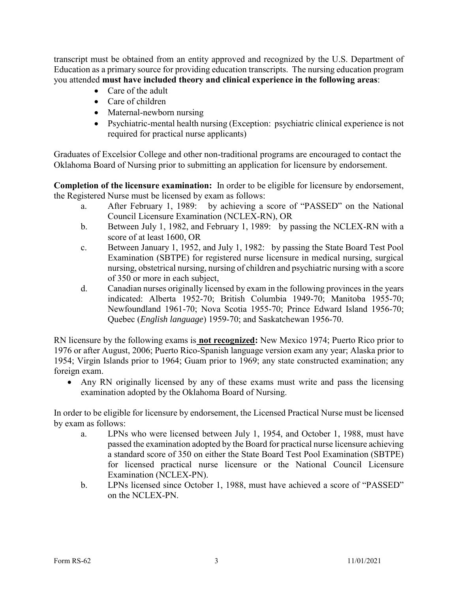transcript must be obtained from an entity approved and recognized by the U.S. Department of Education as a primary source for providing education transcripts. The nursing education program you attended **must have included theory and clinical experience in the following areas**:

- Care of the adult
- Care of children
- Maternal-newborn nursing
- Psychiatric-mental health nursing (Exception: psychiatric clinical experience is not required for practical nurse applicants)

Graduates of Excelsior College and other non-traditional programs are encouraged to contact the Oklahoma Board of Nursing prior to submitting an application for licensure by endorsement.

**Completion of the licensure examination:** In order to be eligible for licensure by endorsement, the Registered Nurse must be licensed by exam as follows:

- a. After February 1, 1989: by achieving a score of "PASSED" on the National Council Licensure Examination (NCLEX-RN), OR
- b. Between July 1, 1982, and February 1, 1989: by passing the NCLEX-RN with a score of at least 1600, OR
- c. Between January 1, 1952, and July 1, 1982: by passing the State Board Test Pool Examination (SBTPE) for registered nurse licensure in medical nursing, surgical nursing, obstetrical nursing, nursing of children and psychiatric nursing with a score of 350 or more in each subject,
- d. Canadian nurses originally licensed by exam in the following provinces in the years indicated: Alberta 1952-70; British Columbia 1949-70; Manitoba 1955-70; Newfoundland 1961-70; Nova Scotia 1955-70; Prince Edward Island 1956-70; Quebec (*English language*) 1959-70; and Saskatchewan 1956-70.

RN licensure by the following exams is **not recognized:** New Mexico 1974; Puerto Rico prior to 1976 or after August, 2006; Puerto Rico-Spanish language version exam any year; Alaska prior to 1954; Virgin Islands prior to 1964; Guam prior to 1969; any state constructed examination; any foreign exam.

 Any RN originally licensed by any of these exams must write and pass the licensing examination adopted by the Oklahoma Board of Nursing.

In order to be eligible for licensure by endorsement, the Licensed Practical Nurse must be licensed by exam as follows:

- a. LPNs who were licensed between July 1, 1954, and October 1, 1988, must have passed the examination adopted by the Board for practical nurse licensure achieving a standard score of 350 on either the State Board Test Pool Examination (SBTPE) for licensed practical nurse licensure or the National Council Licensure Examination (NCLEX-PN).
- b. LPNs licensed since October 1, 1988, must have achieved a score of "PASSED" on the NCLEX-PN.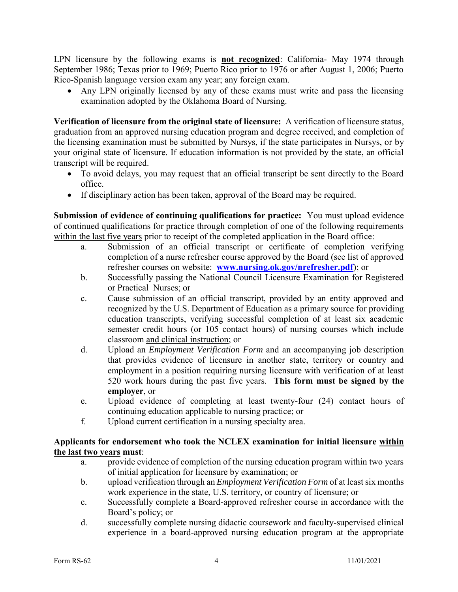LPN licensure by the following exams is **not recognized**: California- May 1974 through September 1986; Texas prior to 1969; Puerto Rico prior to 1976 or after August 1, 2006; Puerto Rico-Spanish language version exam any year; any foreign exam.

 Any LPN originally licensed by any of these exams must write and pass the licensing examination adopted by the Oklahoma Board of Nursing.

**Verification of licensure from the original state of licensure:** A verification of licensure status, graduation from an approved nursing education program and degree received, and completion of the licensing examination must be submitted by Nursys, if the state participates in Nursys, or by your original state of licensure. If education information is not provided by the state, an official transcript will be required.

- To avoid delays, you may request that an official transcript be sent directly to the Board office.
- If disciplinary action has been taken, approval of the Board may be required.

**Submission of evidence of continuing qualifications for practice:** You must upload evidence of continued qualifications for practice through completion of one of the following requirements within the last five years prior to receipt of the completed application in the Board office:

- a. Submission of an official transcript or certificate of completion verifying completion of a nurse refresher course approved by the Board (see list of approved refresher courses on website: **[www.nursing.ok.gov/nrefresher.pdf](http://www.nursing.ok.gov/nrefresher.pdf)**); or
- b. Successfully passing the National Council Licensure Examination for Registered or Practical Nurses; or
- c. Cause submission of an official transcript, provided by an entity approved and recognized by the U.S. Department of Education as a primary source for providing education transcripts, verifying successful completion of at least six academic semester credit hours (or 105 contact hours) of nursing courses which include classroom and clinical instruction; or
- d. Upload an *Employment Verification Form* and an accompanying job description that provides evidence of licensure in another state, territory or country and employment in a position requiring nursing licensure with verification of at least 520 work hours during the past five years. **This form must be signed by the employer**, or
- e. Upload evidence of completing at least twenty-four (24) contact hours of continuing education applicable to nursing practice; or
- f. Upload current certification in a nursing specialty area.

### **Applicants for endorsement who took the NCLEX examination for initial licensure within the last two years must**:

- a. provide evidence of completion of the nursing education program within two years of initial application for licensure by examination; or
- b. upload verification through an *Employment Verification Form* of at least six months work experience in the state, U.S. territory, or country of licensure; or
- c. Successfully complete a Board-approved refresher course in accordance with the Board's policy; or
- d. successfully complete nursing didactic coursework and faculty-supervised clinical experience in a board-approved nursing education program at the appropriate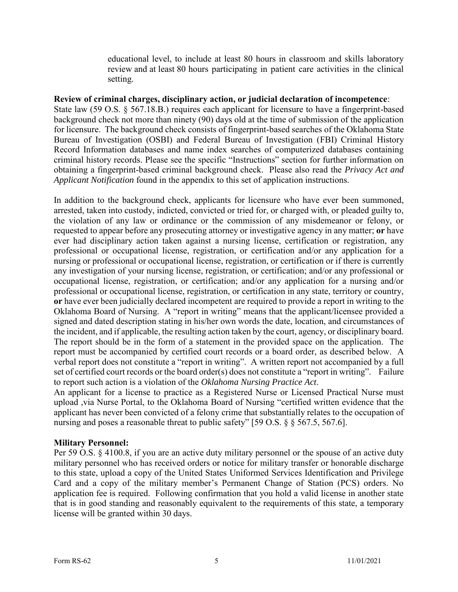educational level, to include at least 80 hours in classroom and skills laboratory review and at least 80 hours participating in patient care activities in the clinical setting.

#### **Review of criminal charges, disciplinary action, or judicial declaration of incompetence**:

State law (59 O.S. § 567.18.B.) requires each applicant for licensure to have a fingerprint-based background check not more than ninety (90) days old at the time of submission of the application for licensure. The background check consists of fingerprint-based searches of the Oklahoma State Bureau of Investigation (OSBI) and Federal Bureau of Investigation (FBI) Criminal History Record Information databases and name index searches of computerized databases containing criminal history records. Please see the specific "Instructions" section for further information on obtaining a fingerprint-based criminal background check. Please also read the *Privacy Act and Applicant Notification* found in the appendix to this set of application instructions.

In addition to the background check, applicants for licensure who have ever been summoned, arrested, taken into custody, indicted, convicted or tried for, or charged with, or pleaded guilty to, the violation of any law or ordinance or the commission of any misdemeanor or felony, or requested to appear before any prosecuting attorney or investigative agency in any matter; **or** have ever had disciplinary action taken against a nursing license, certification or registration, any professional or occupational license, registration, or certification and/or any application for a nursing or professional or occupational license, registration, or certification or if there is currently any investigation of your nursing license, registration, or certification; and/or any professional or occupational license, registration, or certification; and/or any application for a nursing and/or professional or occupational license, registration, or certification in any state, territory or country, **or** have ever been judicially declared incompetent are required to provide a report in writing to the Oklahoma Board of Nursing. A "report in writing" means that the applicant/licensee provided a signed and dated description stating in his/her own words the date, location, and circumstances of the incident, and if applicable, the resulting action taken by the court, agency, or disciplinary board. The report should be in the form of a statement in the provided space on the application. The report must be accompanied by certified court records or a board order, as described below. A verbal report does not constitute a "report in writing". A written report not accompanied by a full set of certified court records or the board order(s) does not constitute a "report in writing". Failure to report such action is a violation of the *Oklahoma Nursing Practice Act*.

An applicant for a license to practice as a Registered Nurse or Licensed Practical Nurse must upload ,via Nurse Portal, to the Oklahoma Board of Nursing "certified written evidence that the applicant has never been convicted of a felony crime that substantially relates to the occupation of nursing and poses a reasonable threat to public safety" [59 O.S. § § 567.5, 567.6].

#### **Military Personnel:**

Per 59 O.S. § 4100.8, if you are an active duty military personnel or the spouse of an active duty military personnel who has received orders or notice for military transfer or honorable discharge to this state, upload a copy of the United States Uniformed Services Identification and Privilege Card and a copy of the military member's Permanent Change of Station (PCS) orders. No application fee is required. Following confirmation that you hold a valid license in another state that is in good standing and reasonably equivalent to the requirements of this state, a temporary license will be granted within 30 days.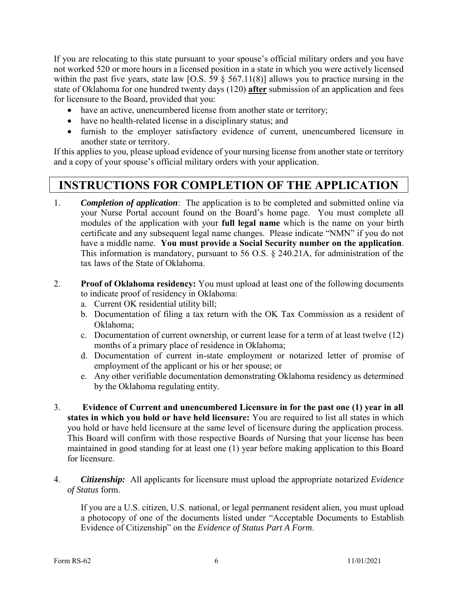If you are relocating to this state pursuant to your spouse's official military orders and you have not worked 520 or more hours in a licensed position in a state in which you were actively licensed within the past five years, state law [O.S.  $\overline{59}$  § 567.11(8)] allows you to practice nursing in the state of Oklahoma for one hundred twenty days (120) **after** submission of an application and fees for licensure to the Board, provided that you:

- have an active, unencumbered license from another state or territory;
- have no health-related license in a disciplinary status; and
- furnish to the employer satisfactory evidence of current, unencumbered licensure in another state or territory.

If this applies to you, please upload evidence of your nursing license from another state or territory and a copy of your spouse's official military orders with your application.

### **INSTRUCTIONS FOR COMPLETION OF THE APPLICATION**

- 1. *Completion of application*: The application is to be completed and submitted online via your Nurse Portal account found on the Board's home page. You must complete all modules of the application with your **full legal name** which is the name on your birth certificate and any subsequent legal name changes. Please indicate "NMN" if you do not have a middle name. **You must provide a Social Security number on the application**. This information is mandatory, pursuant to 56 O.S. § 240.21A, for administration of the tax laws of the State of Oklahoma.
- 2. **Proof of Oklahoma residency:** You must upload at least one of the following documents to indicate proof of residency in Oklahoma:
	- a. Current OK residential utility bill;
	- b. Documentation of filing a tax return with the OK Tax Commission as a resident of Oklahoma;
	- c. Documentation of current ownership, or current lease for a term of at least twelve (12) months of a primary place of residence in Oklahoma;
	- d. Documentation of current in-state employment or notarized letter of promise of employment of the applicant or his or her spouse; or
	- e. Any other verifiable documentation demonstrating Oklahoma residency as determined by the Oklahoma regulating entity.
- 3. **Evidence of Current and unencumbered Licensure in for the past one (1) year in all states in which you hold or have held licensure:** You are required to list all states in which you hold or have held licensure at the same level of licensure during the application process. This Board will confirm with those respective Boards of Nursing that your license has been maintained in good standing for at least one (1) year before making application to this Board for licensure.
- 4. *Citizenship:* All applicants for licensure must upload the appropriate notarized *Evidence of Status* form.

If you are a U.S. citizen, U.S. national, or legal permanent resident alien, you must upload a photocopy of one of the documents listed under "Acceptable Documents to Establish Evidence of Citizenship" on the *Evidence of Status Part A Form*.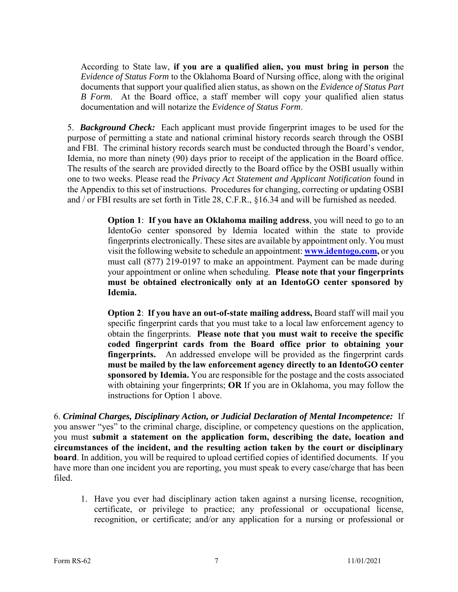According to State law, **if you are a qualified alien, you must bring in person** the *Evidence of Status Form* to the Oklahoma Board of Nursing office, along with the original documents that support your qualified alien status, as shown on the *Evidence of Status Part B Form*. At the Board office, a staff member will copy your qualified alien status documentation and will notarize the *Evidence of Status Form*.

5. *Background Check:* Each applicant must provide fingerprint images to be used for the purpose of permitting a state and national criminal history records search through the OSBI and FBI. The criminal history records search must be conducted through the Board's vendor, Idemia, no more than ninety (90) days prior to receipt of the application in the Board office. The results of the search are provided directly to the Board office by the OSBI usually within one to two weeks. Please read the *Privacy Act Statement and Applicant Notification* found in the Appendix to this set of instructions. Procedures for changing, correcting or updating OSBI and / or FBI results are set forth in Title 28, C.F.R., §16.34 and will be furnished as needed.

> **Option 1**: **If you have an Oklahoma mailing address**, you will need to go to an IdentoGo center sponsored by Idemia located within the state to provide fingerprints electronically. These sites are available by appointment only. You must visit the following website to schedule an appointment: **[www.identogo.com,](http://www.identogo.com/)** or you must call (877) 219-0197 to make an appointment. Payment can be made during your appointment or online when scheduling. **Please note that your fingerprints must be obtained electronically only at an IdentoGO center sponsored by Idemia.**

> **Option 2**: **If you have an out-of-state mailing address,** Board staff will mail you specific fingerprint cards that you must take to a local law enforcement agency to obtain the fingerprints. **Please note that you must wait to receive the specific coded fingerprint cards from the Board office prior to obtaining your fingerprints.** An addressed envelope will be provided as the fingerprint cards **must be mailed by the law enforcement agency directly to an IdentoGO center sponsored by Idemia.** You are responsible for the postage and the costs associated with obtaining your fingerprints; **OR** If you are in Oklahoma, you may follow the instructions for Option 1 above.

6. *Criminal Charges, Disciplinary Action, or Judicial Declaration of Mental Incompetence:* If you answer "yes" to the criminal charge, discipline, or competency questions on the application, you must **submit a statement on the application form, describing the date, location and circumstances of the incident, and the resulting action taken by the court or disciplinary board**. In addition, you will be required to upload certified copies of identified documents. If you have more than one incident you are reporting, you must speak to every case/charge that has been filed.

1. Have you ever had disciplinary action taken against a nursing license, recognition, certificate, or privilege to practice; any professional or occupational license, recognition, or certificate; and/or any application for a nursing or professional or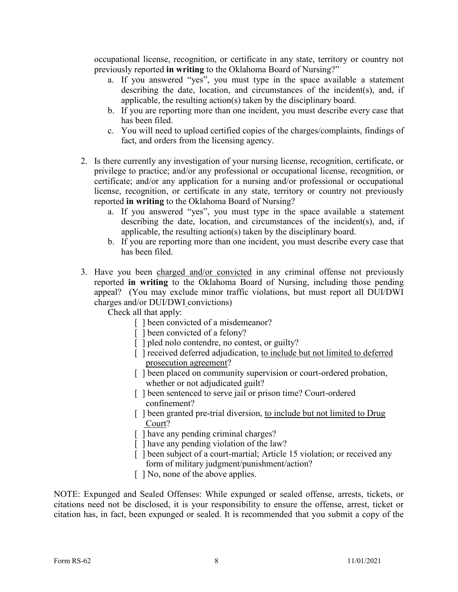occupational license, recognition, or certificate in any state, territory or country not previously reported **in writing** to the Oklahoma Board of Nursing?"

- a. If you answered "yes", you must type in the space available a statement describing the date, location, and circumstances of the incident(s), and, if applicable, the resulting action(s) taken by the disciplinary board.
- b. If you are reporting more than one incident, you must describe every case that has been filed.
- c. You will need to upload certified copies of the charges/complaints, findings of fact, and orders from the licensing agency.
- 2. Is there currently any investigation of your nursing license, recognition, certificate, or privilege to practice; and/or any professional or occupational license, recognition, or certificate; and/or any application for a nursing and/or professional or occupational license, recognition, or certificate in any state, territory or country not previously reported **in writing** to the Oklahoma Board of Nursing?
	- a. If you answered "yes", you must type in the space available a statement describing the date, location, and circumstances of the incident(s), and, if applicable, the resulting action(s) taken by the disciplinary board.
	- b. If you are reporting more than one incident, you must describe every case that has been filed.
- 3. Have you been charged and/or convicted in any criminal offense not previously reported **in writing** to the Oklahoma Board of Nursing, including those pending appeal? (You may exclude minor traffic violations, but must report all DUI/DWI charges and/or DUI/DWI convictions)

Check all that apply:

- [] been convicted of a misdemeanor?
- [] been convicted of a felony?
- [ ] pled nolo contendre, no contest, or guilty?
- [ ] received deferred adjudication, to include but not limited to deferred prosecution agreement?
- [ ] been placed on community supervision or court-ordered probation, whether or not adjudicated guilt?
- [] been sentenced to serve jail or prison time? Court-ordered confinement?
- [] been granted pre-trial diversion, to include but not limited to Drug Court?
- [ ] have any pending criminal charges?
- [] have any pending violation of the law?
- [] been subject of a court-martial; Article 15 violation; or received any form of military judgment/punishment/action?
- [ ] No, none of the above applies.

NOTE: Expunged and Sealed Offenses: While expunged or sealed offense, arrests, tickets, or citations need not be disclosed, it is your responsibility to ensure the offense, arrest, ticket or citation has, in fact, been expunged or sealed. It is recommended that you submit a copy of the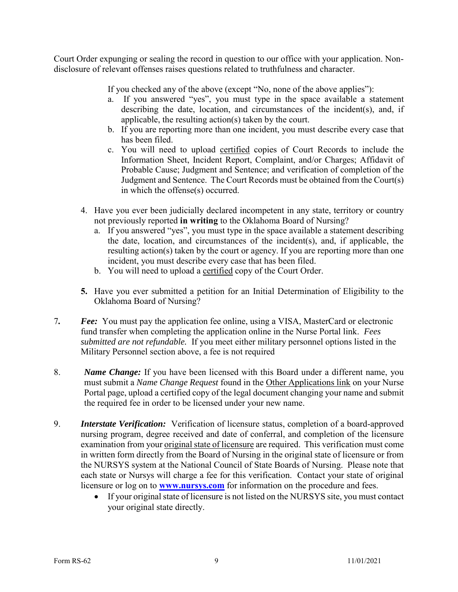Court Order expunging or sealing the record in question to our office with your application. Nondisclosure of relevant offenses raises questions related to truthfulness and character.

If you checked any of the above (except "No, none of the above applies"):

- a. If you answered "yes", you must type in the space available a statement describing the date, location, and circumstances of the incident(s), and, if applicable, the resulting action(s) taken by the court.
- b. If you are reporting more than one incident, you must describe every case that has been filed.
- c. You will need to upload certified copies of Court Records to include the Information Sheet, Incident Report, Complaint, and/or Charges; Affidavit of Probable Cause; Judgment and Sentence; and verification of completion of the Judgment and Sentence. The Court Records must be obtained from the Court(s) in which the offense(s) occurred.
- 4. Have you ever been judicially declared incompetent in any state, territory or country not previously reported **in writing** to the Oklahoma Board of Nursing?
	- a. If you answered "yes", you must type in the space available a statement describing the date, location, and circumstances of the incident(s), and, if applicable, the resulting action(s) taken by the court or agency. If you are reporting more than one incident, you must describe every case that has been filed.
	- b. You will need to upload a certified copy of the Court Order.
- **5.** Have you ever submitted a petition for an Initial Determination of Eligibility to the Oklahoma Board of Nursing?
- 7*. Fee:* You must pay the application fee online, using a VISA, MasterCard or electronic fund transfer when completing the application online in the Nurse Portal link. *Fees submitted are not refundable.* If you meet either military personnel options listed in the Military Personnel section above, a fee is not required
- 8. *Name Change:* If you have been licensed with this Board under a different name, you must submit a *Name Change Request* found in the Other Applications link on your Nurse Portal page, upload a certified copy of the legal document changing your name and submit the required fee in order to be licensed under your new name.
- 9. *Interstate Verification:* Verification of licensure status, completion of a board-approved nursing program, degree received and date of conferral, and completion of the licensure examination from your original state of licensure are required. This verification must come in written form directly from the Board of Nursing in the original state of licensure or from the NURSYS system at the National Council of State Boards of Nursing. Please note that each state or Nursys will charge a fee for this verification. Contact your state of original licensure or log on to **[www.nursys.com](http://www.nursys.com/)** for information on the procedure and fees.
	- If your original state of licensure is not listed on the NURSYS site, you must contact your original state directly.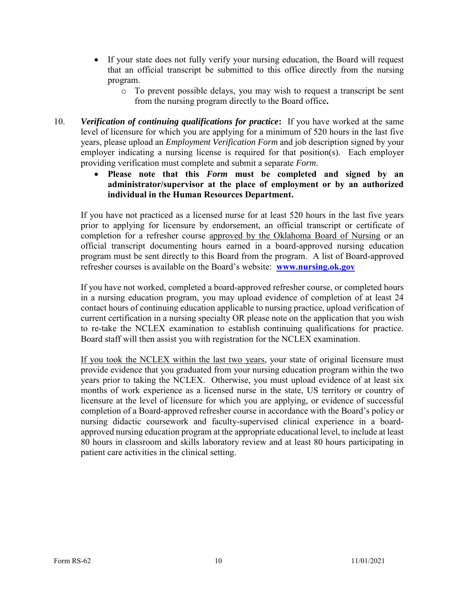- If your state does not fully verify your nursing education, the Board will request that an official transcript be submitted to this office directly from the nursing program.
	- o To prevent possible delays, you may wish to request a transcript be sent from the nursing program directly to the Board office**.**
- 10. *Verification of continuing qualifications for practice***:** If you have worked at the same level of licensure for which you are applying for a minimum of 520 hours in the last five years, please upload an *Employment Verification Form* and job description signed by your employer indicating a nursing license is required for that position(s). Each employer providing verification must complete and submit a separate *Form*.
	- **Please note that this** *Form* **must be completed and signed by an administrator/supervisor at the place of employment or by an authorized individual in the Human Resources Department.**

If you have not practiced as a licensed nurse for at least 520 hours in the last five years prior to applying for licensure by endorsement, an official transcript or certificate of completion for a refresher course approved by the Oklahoma Board of Nursing or an official transcript documenting hours earned in a board-approved nursing education program must be sent directly to this Board from the program. A list of Board-approved refresher courses is available on the Board's website: **[www.nursing.ok.gov](http://www.ok.gov/nursing)** 

If you have not worked, completed a board-approved refresher course, or completed hours in a nursing education program, you may upload evidence of completion of at least 24 contact hours of continuing education applicable to nursing practice, upload verification of current certification in a nursing specialty OR please note on the application that you wish to re-take the NCLEX examination to establish continuing qualifications for practice. Board staff will then assist you with registration for the NCLEX examination.

If you took the NCLEX within the last two years, your state of original licensure must provide evidence that you graduated from your nursing education program within the two years prior to taking the NCLEX. Otherwise, you must upload evidence of at least six months of work experience as a licensed nurse in the state, US territory or country of licensure at the level of licensure for which you are applying, or evidence of successful completion of a Board-approved refresher course in accordance with the Board's policy or nursing didactic coursework and faculty-supervised clinical experience in a boardapproved nursing education program at the appropriate educational level, to include at least 80 hours in classroom and skills laboratory review and at least 80 hours participating in patient care activities in the clinical setting.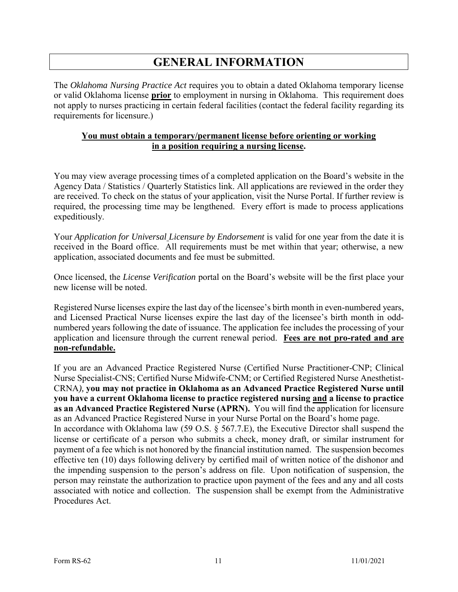## **GENERAL INFORMATION**

The *Oklahoma Nursing Practice Act* requires you to obtain a dated Oklahoma temporary license or valid Oklahoma license **prior** to employment in nursing in Oklahoma. This requirement does not apply to nurses practicing in certain federal facilities (contact the federal facility regarding its requirements for licensure.)

#### **You must obtain a temporary/permanent license before orienting or working in a position requiring a nursing license.**

You may view average processing times of a completed application on the Board's website in the Agency Data / Statistics / Quarterly Statistics link. All applications are reviewed in the order they are received. To check on the status of your application, visit the Nurse Portal. If further review is required, the processing time may be lengthened. Every effort is made to process applications expeditiously.

Your *Application for Universal Licensure by Endorsement* is valid for one year from the date it is received in the Board office. All requirements must be met within that year; otherwise, a new application, associated documents and fee must be submitted.

Once licensed, the *License Verification* portal on the Board's website will be the first place your new license will be noted.

Registered Nurse licenses expire the last day of the licensee's birth month in even-numbered years, and Licensed Practical Nurse licenses expire the last day of the licensee's birth month in oddnumbered years following the date of issuance. The application fee includes the processing of your application and licensure through the current renewal period. **Fees are not pro-rated and are non-refundable.**

If you are an Advanced Practice Registered Nurse (Certified Nurse Practitioner-CNP; Clinical Nurse Specialist-CNS; Certified Nurse Midwife-CNM; or Certified Registered Nurse Anesthetist-CRNA*),* **you may not practice in Oklahoma as an Advanced Practice Registered Nurse until you have a current Oklahoma license to practice registered nursing and a license to practice as an Advanced Practice Registered Nurse (APRN).** You will find the application for licensure as an Advanced Practice Registered Nurse in your Nurse Portal on the Board's home page. In accordance with Oklahoma law (59 O.S. § 567.7.E), the Executive Director shall suspend the license or certificate of a person who submits a check, money draft, or similar instrument for payment of a fee which is not honored by the financial institution named. The suspension becomes effective ten (10) days following delivery by certified mail of written notice of the dishonor and the impending suspension to the person's address on file. Upon notification of suspension, the person may reinstate the authorization to practice upon payment of the fees and any and all costs associated with notice and collection. The suspension shall be exempt from the Administrative Procedures Act.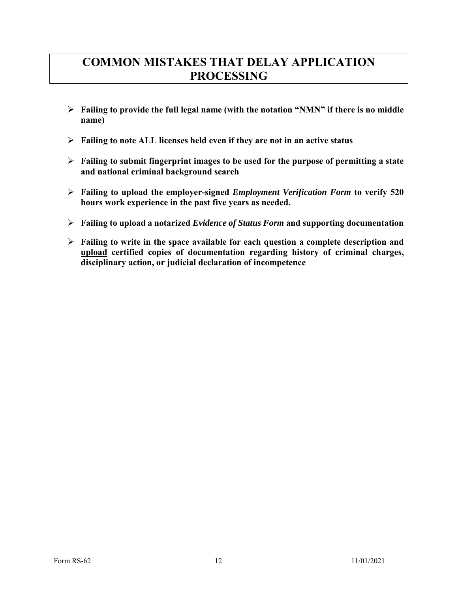## **COMMON MISTAKES THAT DELAY APPLICATION PROCESSING**

- **Failing to provide the full legal name (with the notation "NMN" if there is no middle name)**
- **Failing to note ALL licenses held even if they are not in an active status**
- **Failing to submit fingerprint images to be used for the purpose of permitting a state and national criminal background search**
- **Failing to upload the employer-signed** *Employment Verification Form* **to verify 520 hours work experience in the past five years as needed.**
- **Failing to upload a notarized** *Evidence of Status Form* **and supporting documentation**
- **Failing to write in the space available for each question a complete description and upload certified copies of documentation regarding history of criminal charges, disciplinary action, or judicial declaration of incompetence**